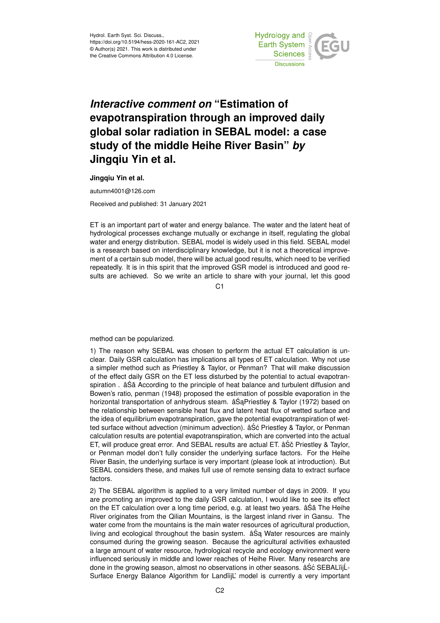

## *Interactive comment on* **"Estimation of evapotranspiration through an improved daily global solar radiation in SEBAL model: a case study of the middle Heihe River Basin"** *by* **Jingqiu Yin et al.**

**Jingqiu Yin et al.**

autumn4001@126.com

Received and published: 31 January 2021

ET is an important part of water and energy balance. The water and the latent heat of hydrological processes exchange mutually or exchange in itself, regulating the global water and energy distribution. SEBAL model is widely used in this field. SEBAL model is a research based on interdisciplinary knowledge, but it is not a theoretical improvement of a certain sub model, there will be actual good results, which need to be verified repeatedly. It is in this spirit that the improved GSR model is introduced and good results are achieved. So we write an article to share with your journal, let this good

 $C<sub>1</sub>$ 

method can be popularized.

1) The reason why SEBAL was chosen to perform the actual ET calculation is unclear. Daily GSR calculation has implications all types of ET calculation. Why not use a simpler method such as Priestley & Taylor, or Penman? That will make discussion of the effect daily GSR on the ET less disturbed by the potential to actual evapotranspiration . âSă According to the principle of heat balance and turbulent diffusion and Bowen's ratio, penman (1948) proposed the estimation of possible evaporation in the horizontal transportation of anhydrous steam.  $âŠaPriestley & Taylor (1972)$  based on the relationship between sensible heat flux and latent heat flux of wetted surface and the idea of equilibrium evapotranspiration, gave the potential evapotranspiration of wetted surface without advection (minimum advection).  $\hat{a}\hat{S}\hat{c}$  Priestley & Taylor, or Penman calculation results are potential evapotranspiration, which are converted into the actual ET, will produce great error. And SEBAL results are actual ET. âSo Priestley & Taylor, or Penman model don't fully consider the underlying surface factors. For the Heihe River Basin, the underlying surface is very important (please look at introduction). But SEBAL considers these, and makes full use of remote sensing data to extract surface factors.

2) The SEBAL algorithm is applied to a very limited number of days in 2009. If you are promoting an improved to the daily GSR calculation, I would like to see its effect on the ET calculation over a long time period, e.g. at least two years. âSa The Heihe River originates from the Qilian Mountains, is the largest inland river in Gansu. The water come from the mountains is the main water resources of agricultural production, living and ecological throughout the basin system.  $âSa$  Water resources are mainly consumed during the growing season. Because the agricultural activities exhausted a large amount of water resource, hydrological recycle and ecology environment were influenced seriously in middle and lower reaches of Heihe River. Many researchs are done in the growing season, almost no observations in other seasons. âŚć SEBALïijĹ-Surface Energy Balance Algorithm for LandïijL' model is currently a very important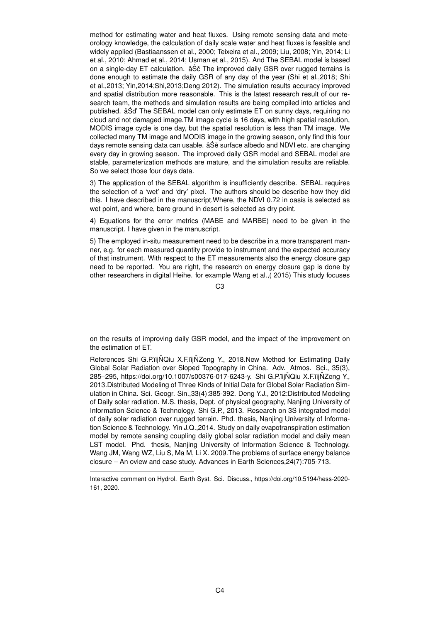method for estimating water and heat fluxes. Using remote sensing data and meteorology knowledge, the calculation of daily scale water and heat fluxes is feasible and widely applied (Bastiaanssen et al., 2000; Teixeira et al., 2009; Liu, 2008; Yin, 2014; Li et al., 2010; Ahmad et al., 2014; Usman et al., 2015). And The SEBAL model is based on a single-day ET calculation.  $âS\check{c}$  The improved daily GSR over rugged terrains is done enough to estimate the daily GSR of any day of the year (Shi et al.,2018; Shi et al.,2013; Yin,2014;Shi,2013;Deng 2012). The simulation results accuracy improved and spatial distribution more reasonable. This is the latest research result of our research team, the methods and simulation results are being compiled into articles and published. âSd' The SEBAL model can only estimate ET on sunny days, requiring no ´ cloud and not damaged image.TM image cycle is 16 days, with high spatial resolution, MODIS image cycle is one day, but the spatial resolution is less than TM image. We collected many TM image and MODIS image in the growing season, only find this four days remote sensing data can usable. â Se surface albedo and NDVI etc. are changing every day in growing season. The improved daily GSR model and SEBAL model are stable, parameterization methods are mature, and the simulation results are reliable. So we select those four days data.

3) The application of the SEBAL algorithm is insufficiently describe. SEBAL requires the selection of a 'wet' and 'dry' pixel. The authors should be describe how they did this. I have described in the manuscript.Where, the NDVI 0.72 in oasis is selected as wet point, and where, bare ground in desert is selected as dry point.

4) Equations for the error metrics (MABE and MARBE) need to be given in the manuscript. I have given in the manuscript.

5) The employed in-situ measurement need to be describe in a more transparent manner, e.g. for each measured quantity provide to instrument and the expected accuracy of that instrument. With respect to the ET measurements also the energy closure gap need to be reported. You are right, the research on energy closure gap is done by other researchers in digital Heihe. for example Wang et al.,( 2015) This study focuses

 $C3$ 

on the results of improving daily GSR model, and the impact of the improvement on the estimation of ET.

References Shi G.P. iij NQiu X.F. iij NZeng Y., 2018. New Method for Estimating Daily Global Solar Radiation over Sloped Topography in China. Adv. Atmos. Sci., 35(3), 285–295, https://doi.org/10.1007/s00376-017-6243-y. Shi G.P.ïijŇQiu X.F.ïijŇZeng Y., 2013.Distributed Modeling of Three Kinds of Initial Data for Global Solar Radiation Simulation in China. Sci. Geogr. Sin.,33(4):385-392. Deng Y.J., 2012:Distributed Modeling of Daily solar radiation. M.S. thesis, Dept. of physical geography, Nanjing University of Information Science & Technology. Shi G.P., 2013. Research on 3S integrated model of daily solar radiation over rugged terrain. Phd. thesis, Nanjing University of Information Science & Technology. Yin J.Q.,2014. Study on daily evapotranspiration estimation model by remote sensing coupling daily global solar radiation model and daily mean LST model. Phd. thesis, Nanjing University of Information Science & Technology. Wang JM, Wang WZ, Liu S, Ma M, Li X. 2009.The problems of surface energy balance closure – An oview and case study. Advances in Earth Sciences,24(7):705-713.

Interactive comment on Hydrol. Earth Syst. Sci. Discuss., https://doi.org/10.5194/hess-2020- 161, 2020.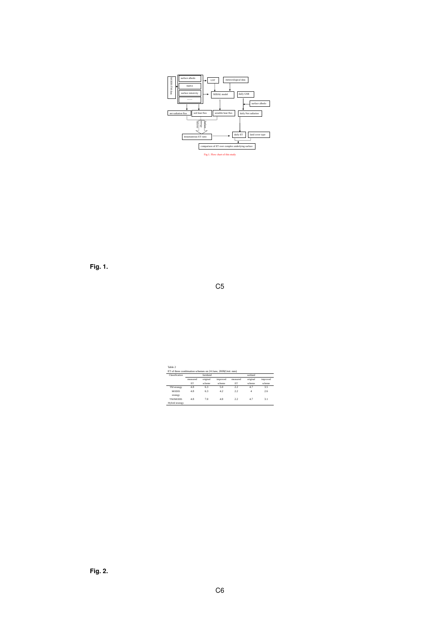

**Fig. 1.**

C5

| Classification  |          | farmland |          | wetland  |                  |          |  |
|-----------------|----------|----------|----------|----------|------------------|----------|--|
|                 | measured | original | improved | measured | original         | improved |  |
|                 | FT       | scheme   | scheme   | ET       | scheme           | scheme   |  |
| TM strategy     | 4.8      | 6.3      | 50       | 2.2      | 4.7              | 3.5      |  |
| <b>MODIS</b>    | 48       | 63       | 42       | 22       | $\boldsymbol{A}$ | 2.6      |  |
| strategy        |          |          |          |          |                  |          |  |
| <b>TM/MODIS</b> | 48       | 70       | 48       | 22       | 47               | 31       |  |
| Hybrid strategy |          |          |          |          |                  |          |  |